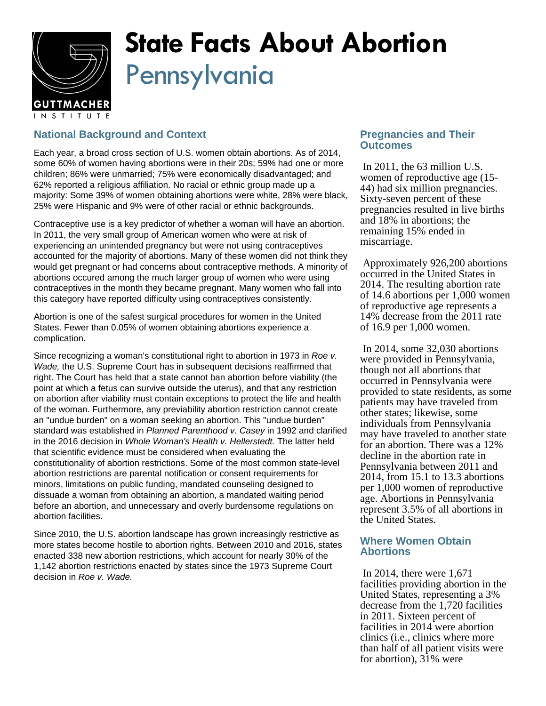

# **State Facts About Abortion** Pennsylvania

# **National Background and Context**

Each year, a broad cross section of U.S. women obtain abortions. As of 2014, some 60% of women having abortions were in their 20s; 59% had one or more children; 86% were unmarried; 75% were economically disadvantaged; and 62% reported a religious affiliation. No racial or ethnic group made up a majority: Some 39% of women obtaining abortions were white, 28% were black, 25% were Hispanic and 9% were of other racial or ethnic backgrounds.

Contraceptive use is a key predictor of whether a woman will have an abortion. In 2011, the very small group of American women who were at risk of experiencing an unintended pregnancy but were not using contraceptives accounted for the majority of abortions. Many of these women did not think they would get pregnant or had concerns about contraceptive methods. A minority of abortions occured among the much larger group of women who were using contraceptives in the month they became pregnant. Many women who fall into this category have reported difficulty using contraceptives consistently.

Abortion is one of the safest surgical procedures for women in the United States. Fewer than 0.05% of women obtaining abortions experience a complication.

Since recognizing a woman's constitutional right to abortion in 1973 in Roe v. Wade, the U.S. Supreme Court has in subsequent decisions reaffirmed that right. The Court has held that a state cannot ban abortion before viability (the point at which a fetus can survive outside the uterus), and that any restriction on abortion after viability must contain exceptions to protect the life and health of the woman. Furthermore, any previability abortion restriction cannot create an "undue burden" on a woman seeking an abortion. This "undue burden" standard was established in Planned Parenthood v. Casey in 1992 and clarified in the 2016 decision in Whole Woman's Health v. Hellerstedt. The latter held that scientific evidence must be considered when evaluating the constitutionality of abortion restrictions. Some of the most common state-level abortion restrictions are parental notification or consent requirements for minors, limitations on public funding, mandated counseling designed to dissuade a woman from obtaining an abortion, a mandated waiting period before an abortion, and unnecessary and overly burdensome regulations on abortion facilities.

Since 2010, the U.S. abortion landscape has grown increasingly restrictive as more states become hostile to abortion rights. Between 2010 and 2016, states enacted 338 new abortion restrictions, which account for nearly 30% of the 1,142 abortion restrictions enacted by states since the 1973 Supreme Court decision in Roe v. Wade.

## **Pregnancies and Their Outcomes**

 In 2011, the 63 million U.S. women of reproductive age (15- 44) had six million pregnancies. Sixty-seven percent of these pregnancies resulted in live births and 18% in abortions; the remaining 15% ended in miscarriage.

 Approximately 926,200 abortions occurred in the United States in 2014. The resulting abortion rate of 14.6 abortions per 1,000 women of reproductive age represents a 14% decrease from the 2011 rate of 16.9 per 1,000 women.

 In 2014, some 32,030 abortions were provided in Pennsylvania, though not all abortions that occurred in Pennsylvania were provided to state residents, as some patients may have traveled from other states; likewise, some individuals from Pennsylvania may have traveled to another state for an abortion. There was a 12% decline in the abortion rate in Pennsylvania between 2011 and 2014, from 15.1 to 13.3 abortions per 1,000 women of reproductive age. Abortions in Pennsylvania represent 3.5% of all abortions in the United States.

### **Where Women Obtain Abortions**

 In 2014, there were 1,671 facilities providing abortion in the United States, representing a 3% decrease from the 1,720 facilities in 2011. Sixteen percent of facilities in 2014 were abortion clinics (i.e., clinics where more than half of all patient visits were for abortion), 31% were